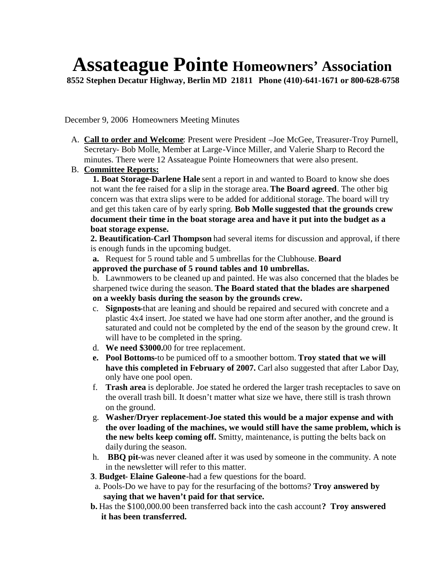## **Assateague Pointe Homeowners' Association**

**8552 Stephen Decatur Highway, Berlin MD 21811 Phone (410)-641-1671 or 800-628-6758**

December 9, 2006 Homeowners Meeting Minutes

A. **Call to order and Welcome**: Present were President –Joe McGee, Treasurer-Troy Purnell, Secretary- Bob Molle, Member at Large-Vince Miller, and Valerie Sharp to Record the minutes. There were 12 Assateague Pointe Homeowners that were also present.

## B. **Committee Reports:**

**1. Boat Storage-Darlene Hale** sent a report in and wanted to Board to know she does not want the fee raised for a slip in the storage area. **The Board agreed**. The other big concern was that extra slips were to be added for additional storage. The board will try and get this taken care of by early spring. **Bob Molle suggested that the grounds crew document their time in the boat storage area and have it put into the budget as a boat storage expense.**

**2. Beautification-Carl Thompson** had several items for discussion and approval, if there is enough funds in the upcoming budget.

**a.** Request for 5 round table and 5 umbrellas for the Clubhouse. **Board**

**approved the purchase of 5 round tables and 10 umbrellas.**

b. Lawnmowers to be cleaned up and painted. He was also concerned that the blades be sharpened twice during the season. **The Board stated that the blades are sharpened on a weekly basis during the season by the grounds crew.**

- c. **Signposts-**that are leaning and should be repaired and secured with concrete and a plastic 4x4 insert. Joe stated we have had one storm after another, and the ground is saturated and could not be completed by the end of the season by the ground crew. It will have to be completed in the spring.
- d. **We need \$3000.**00 for tree replacement.
- **e. Pool Bottoms-**to be pumiced off to a smoother bottom. **Troy stated that we will have this completed in February of 2007.** Carl also suggested that after Labor Day, only have one pool open.
- f. **Trash area** is deplorable. Joe stated he ordered the larger trash receptacles to save on the overall trash bill. It doesn't matter what size we have, there still is trash thrown on the ground.
- g. **Washer/Dryer replacement-Joe stated this would be a major expense and with the over loading of the machines, we would still have the same problem, which is the new belts keep coming off.** Smitty, maintenance, is putting the belts back on daily during the season.
- h. **BBQ pit-**was never cleaned after it was used by someone in the community. A note in the newsletter will refer to this matter.
- **3**. **Budget- Elaine Galeone-**had a few questions for the board.
- a. Pools-Do we have to pay for the resurfacing of the bottoms? **Troy answered by saying that we haven't paid for that service.**
- **b.** Has the \$100,000.00 been transferred back into the cash account**? Troy answered it has been transferred.**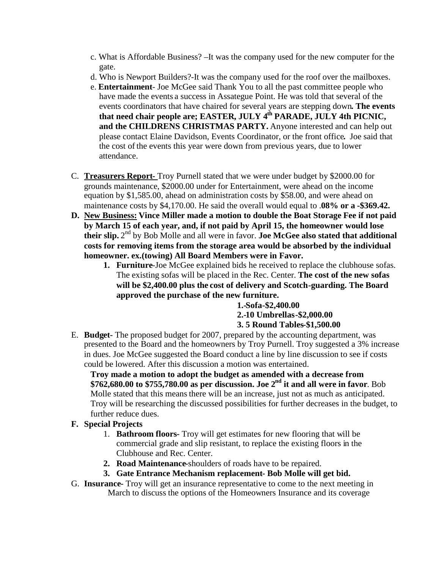- c. What is Affordable Business? –It was the company used for the new computer for the gate.
- d. Who is Newport Builders?-It was the company used for the roof over the mailboxes.
- e. **Entertainment** Joe McGee said Thank You to all the past committee people who have made the events a success in Assategue Point. He was told that several of the events coordinators that have chaired for several years are stepping down**. The events that need chair people are; EASTER, JULY 4th PARADE, JULY 4th PICNIC, and the CHILDRENS CHRISTMAS PARTY.** Anyone interested and can help out please contact Elaine Davidson, Events Coordinator, or the front office**.** Joe said that the cost of the events this year were down from previous years, due to lower attendance.
- C. **Treasurers Report-** Troy Purnell stated that we were under budget by \$2000.00 for grounds maintenance, \$2000.00 under for Entertainment, were ahead on the income equation by \$1,585.00, ahead on administration costs by \$58.00, and were ahead on maintenance costs by \$4,170.00. He said the overall would equal to .**08% or a -\$369.42.**
- **D. New Business: Vince Miller made a motion to double the Boat Storage Fee if not paid by March 15 of each year, and, if not paid by April 15, the homeowner would lose** their slip. 2<sup>nd</sup> by Bob Molle and all were in favor. Joe McGee also stated that additional **costs for removing items from the storage area would be absorbed by the individual homeowner. ex.(towing) All Board Members were in Favor.**
	- **1. Furniture**-Joe McGee explained bids he received to replace the clubhouse sofas. The existing sofas will be placed in the Rec. Center. **The cost of the new sofas will be \$2,400.00 plus the cost of delivery and Scotch-guarding. The Board approved the purchase of the new furniture.**

**1.-Sofa-\$2,400.00 2.-10 Umbrellas-\$2,000.00 3. 5 Round Tables-\$1,500.00**

E. **Budget-** The proposed budget for 2007, prepared by the accounting department, was presented to the Board and the homeowners by Troy Purnell. Troy suggested a 3% increase in dues. Joe McGee suggested the Board conduct a line by line discussion to see if costs could be lowered. After this discussion a motion was entertained.

**Troy made a motion to adopt the budget as amended with a decrease from \$762,680.00 to \$755,780.00 as per discussion. Joe 2nd it and all were in favor**. Bob Molle stated that this means there will be an increase, just not as much as anticipated. Troy will be researching the discussed possibilities for further decreases in the budget, to further reduce dues.

## **F. Special Projects**

- 1. **Bathroom floors-** Troy will get estimates for new flooring that will be commercial grade and slip resistant, to replace the existing floors in the Clubhouse and Rec. Center.
- **2. Road Maintenance-**shoulders of roads have to be repaired.
- **3. Gate Entrance Mechanism replacement- Bob Molle will get bid.**
- G. **Insurance-** Troy will get an insurance representative to come to the next meeting in March to discuss the options of the Homeowners Insurance and its coverage